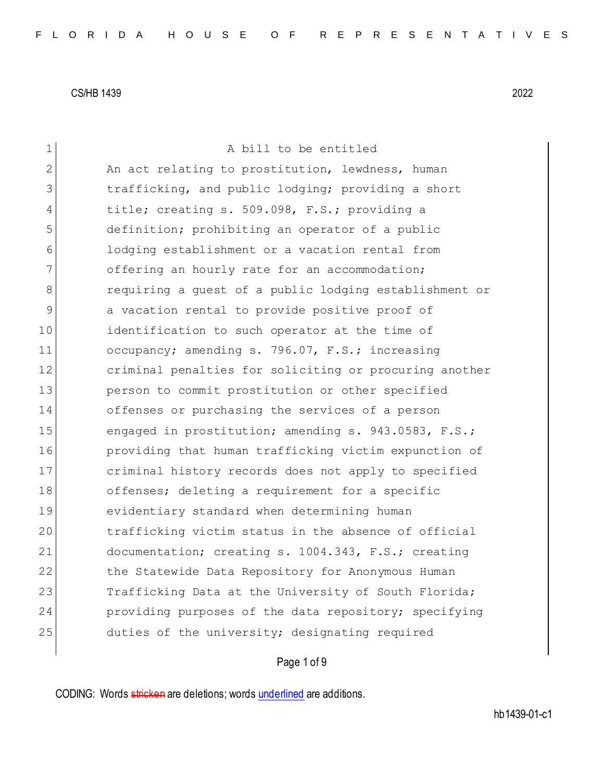| $\mathbf 1$    | A bill to be entitled                                  |
|----------------|--------------------------------------------------------|
| $\overline{2}$ | An act relating to prostitution, lewdness, human       |
| 3              | trafficking, and public lodging; providing a short     |
| 4              | title; creating s. 509.098, F.S.; providing a          |
| 5              | definition; prohibiting an operator of a public        |
| 6              | lodging establishment or a vacation rental from        |
| 7              | offering an hourly rate for an accommodation;          |
| 8              | requiring a guest of a public lodging establishment or |
| 9              | a vacation rental to provide positive proof of         |
| 10             | identification to such operator at the time of         |
| 11             | occupancy; amending s. 796.07, F.S.; increasing        |
| 12             | criminal penalties for soliciting or procuring another |
| 13             | person to commit prostitution or other specified       |
| 14             | offenses or purchasing the services of a person        |
| 15             | engaged in prostitution; amending s. 943.0583, F.S.;   |
| 16             | providing that human trafficking victim expunction of  |
| 17             | criminal history records does not apply to specified   |
| 18             | offenses; deleting a requirement for a specific        |
| 19             | evidentiary standard when determining human            |
| 20             | trafficking victim status in the absence of official   |
| 21             | documentation; creating s. 1004.343, F.S.; creating    |
| 22             | the Statewide Data Repository for Anonymous Human      |
| 23             | Trafficking Data at the University of South Florida;   |
| 24             | providing purposes of the data repository; specifying  |
| 25             | duties of the university; designating required         |
|                |                                                        |

## Page 1 of 9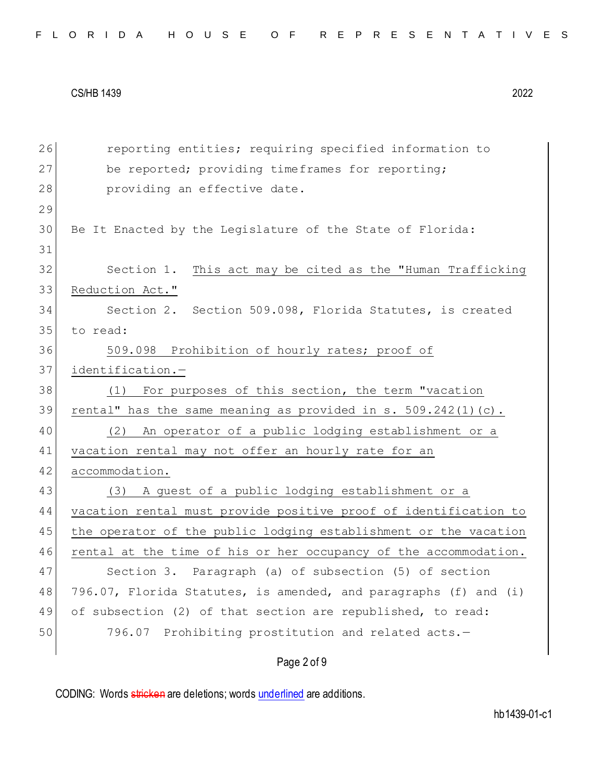| FLORIDA HOUSE OF REPRESENTATIVES |  |  |  |  |  |  |  |  |  |  |  |  |  |  |  |  |  |  |  |  |  |  |  |  |  |  |  |  |  |  |
|----------------------------------|--|--|--|--|--|--|--|--|--|--|--|--|--|--|--|--|--|--|--|--|--|--|--|--|--|--|--|--|--|--|
|----------------------------------|--|--|--|--|--|--|--|--|--|--|--|--|--|--|--|--|--|--|--|--|--|--|--|--|--|--|--|--|--|--|

| 26 | reporting entities; requiring specified information to           |
|----|------------------------------------------------------------------|
| 27 | be reported; providing timeframes for reporting;                 |
| 28 | providing an effective date.                                     |
| 29 |                                                                  |
| 30 | Be It Enacted by the Legislature of the State of Florida:        |
| 31 |                                                                  |
| 32 | Section 1.<br>This act may be cited as the "Human Trafficking    |
| 33 | Reduction Act."                                                  |
| 34 | Section 2. Section 509.098, Florida Statutes, is created         |
| 35 | to read:                                                         |
| 36 | 509.098 Prohibition of hourly rates; proof of                    |
| 37 | identification.-                                                 |
| 38 | For purposes of this section, the term "vacation<br>(1)          |
| 39 | rental" has the same meaning as provided in s. 509.242(1)(c).    |
| 40 | An operator of a public lodging establishment or a<br>(2)        |
| 41 | vacation rental may not offer an hourly rate for an              |
| 42 | accommodation.                                                   |
| 43 | (3) A guest of a public lodging establishment or a               |
| 44 | vacation rental must provide positive proof of identification to |
| 45 | the operator of the public lodging establishment or the vacation |
| 46 | rental at the time of his or her occupancy of the accommodation. |
| 47 | Section 3. Paragraph (a) of subsection (5) of section            |
| 48 | 796.07, Florida Statutes, is amended, and paragraphs (f) and (i) |
| 49 | of subsection (2) of that section are republished, to read:      |
| 50 | 796.07 Prohibiting prostitution and related acts.-               |
|    |                                                                  |

# Page 2 of 9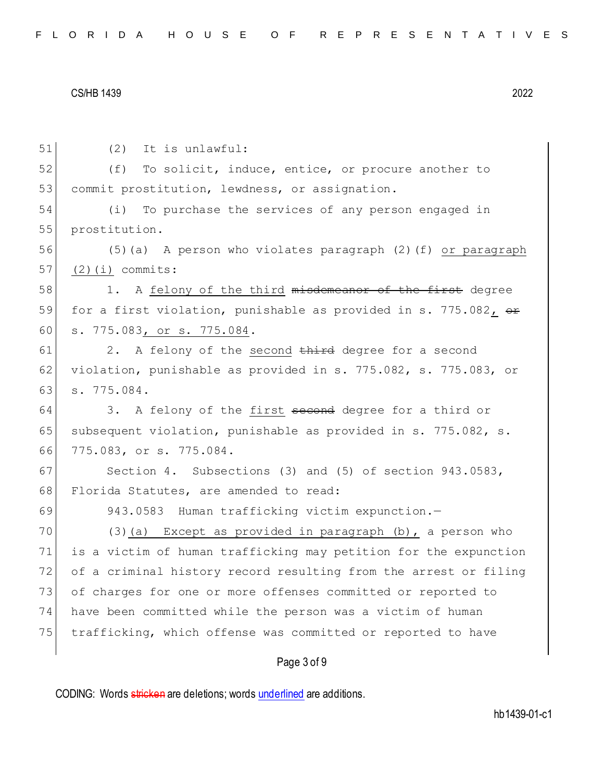Page 3 of 9 51 (2) It is unlawful: 52 (f) To solicit, induce, entice, or procure another to 53 commit prostitution, lewdness, or assignation. 54 (i) To purchase the services of any person engaged in 55 prostitution. 56 (5)(a) A person who violates paragraph (2)(f) or paragraph  $57$  (2)(i) commits: 58 1. A felony of the third misdemeanor of the first degree 59 for a first violation, punishable as provided in s. 775.082,  $\theta$ 60 s. 775.083, or s. 775.084.  $61$  2. A felony of the second third degree for a second 62 violation, punishable as provided in s. 775.082, s. 775.083, or 63 s. 775.084. 64 3. A felony of the first second degree for a third or 65 subsequent violation, punishable as provided in s. 775.082, s. 66 775.083, or s. 775.084. 67 Section 4. Subsections (3) and (5) of section 943.0583, 68 Florida Statutes, are amended to read: 69 943.0583 Human trafficking victim expunction.-70 (3)(a) Except as provided in paragraph  $(b)$ , a person who 71 is a victim of human trafficking may petition for the expunction 72 of a criminal history record resulting from the arrest or filing 73 of charges for one or more offenses committed or reported to 74 have been committed while the person was a victim of human 75 trafficking, which offense was committed or reported to have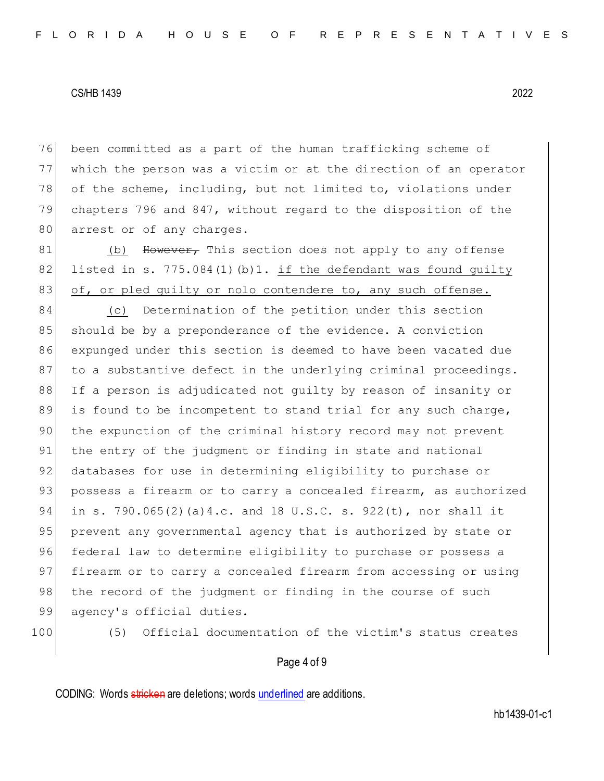76 been committed as a part of the human trafficking scheme of 77 which the person was a victim or at the direction of an operator 78 of the scheme, including, but not limited to, violations under 79 chapters 796 and 847, without regard to the disposition of the 80 arrest or of any charges.

81 (b) However, This section does not apply to any offense 82 listed in s. 775.084(1)(b)1. if the defendant was found guilty 83 of, or pled guilty or nolo contendere to, any such offense.

84 (c) Determination of the petition under this section 85 should be by a preponderance of the evidence. A conviction 86 expunged under this section is deemed to have been vacated due 87 to a substantive defect in the underlying criminal proceedings. 88 If a person is adjudicated not guilty by reason of insanity or 89 is found to be incompetent to stand trial for any such charge, 90 the expunction of the criminal history record may not prevent 91 the entry of the judgment or finding in state and national 92 databases for use in determining eligibility to purchase or 93 possess a firearm or to carry a concealed firearm, as authorized 94 in s. 790.065(2)(a)4.c. and 18 U.S.C. s. 922(t), nor shall it 95 prevent any governmental agency that is authorized by state or 96 federal law to determine eligibility to purchase or possess a 97 firearm or to carry a concealed firearm from accessing or using 98 the record of the judgment or finding in the course of such 99 agency's official duties.

100 (5) Official documentation of the victim's status creates

#### Page 4 of 9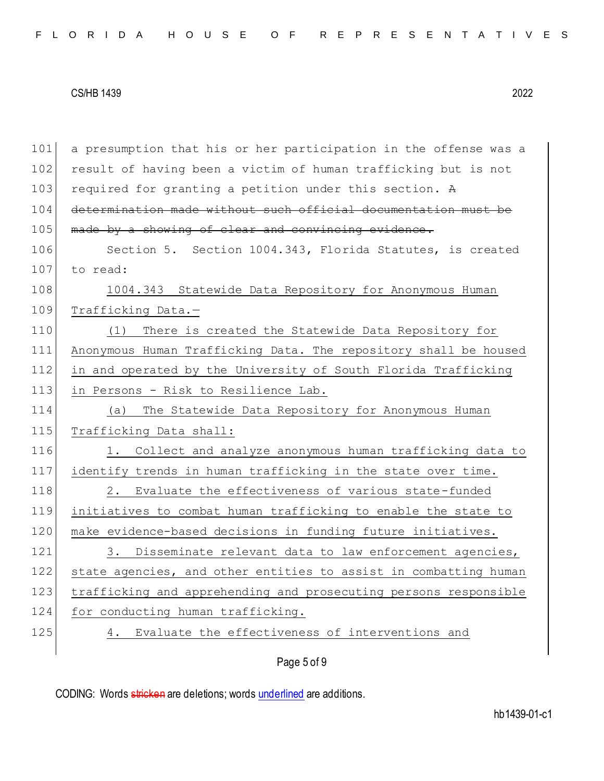101 a presumption that his or her participation in the offense was a 102 result of having been a victim of human trafficking but is not 103 required for granting a petition under this section. A 104 determination made without such official documentation must be 105 made by a showing of clear and convincing evidence. 106 Section 5. Section 1004.343, Florida Statutes, is created 107 to read: 108 1004.343 Statewide Data Repository for Anonymous Human 109 Trafficking Data.-110 (1) There is created the Statewide Data Repository for 111 Anonymous Human Trafficking Data. The repository shall be housed 112 in and operated by the University of South Florida Trafficking 113 in Persons - Risk to Resilience Lab. 114 (a) The Statewide Data Repository for Anonymous Human 115 Trafficking Data shall: 116 1. Collect and analyze anonymous human trafficking data to 117 identify trends in human trafficking in the state over time. 118 2. Evaluate the effectiveness of various state-funded 119 initiatives to combat human trafficking to enable the state to 120 make evidence-based decisions in funding future initiatives. 121 3. Disseminate relevant data to law enforcement agencies, 122 state agencies, and other entities to assist in combatting human 123 trafficking and apprehending and prosecuting persons responsible 124 for conducting human trafficking. 125 4. Evaluate the effectiveness of interventions and

### Page 5 of 9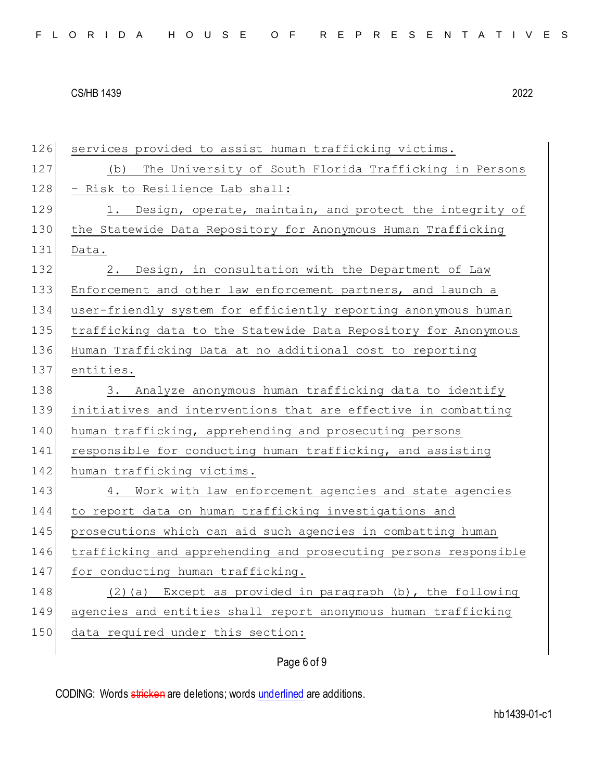| 126 | services provided to assist human trafficking victims.           |
|-----|------------------------------------------------------------------|
| 127 | The University of South Florida Trafficking in Persons<br>(b)    |
| 128 | - Risk to Resilience Lab shall:                                  |
| 129 | Design, operate, maintain, and protect the integrity of<br>1.    |
| 130 | the Statewide Data Repository for Anonymous Human Trafficking    |
| 131 | Data.                                                            |
| 132 | Design, in consultation with the Department of Law<br>2.         |
| 133 | Enforcement and other law enforcement partners, and launch a     |
| 134 | user-friendly system for efficiently reporting anonymous human   |
| 135 | trafficking data to the Statewide Data Repository for Anonymous  |
| 136 | Human Trafficking Data at no additional cost to reporting        |
| 137 | entities.                                                        |
| 138 | 3. Analyze anonymous human trafficking data to identify          |
| 139 | initiatives and interventions that are effective in combatting   |
| 140 | human trafficking, apprehending and prosecuting persons          |
| 141 | responsible for conducting human trafficking, and assisting      |
| 142 | human trafficking victims.                                       |
| 143 | 4. Work with law enforcement agencies and state agencies         |
| 144 | to report data on human trafficking investigations and           |
| 145 | prosecutions which can aid such agencies in combatting human     |
| 146 | trafficking and apprehending and prosecuting persons responsible |
| 147 | for conducting human trafficking.                                |
| 148 | Except as provided in paragraph (b), the following<br>(2) (a)    |
| 149 | agencies and entities shall report anonymous human trafficking   |
| 150 | data required under this section:                                |
|     |                                                                  |

## Page 6 of 9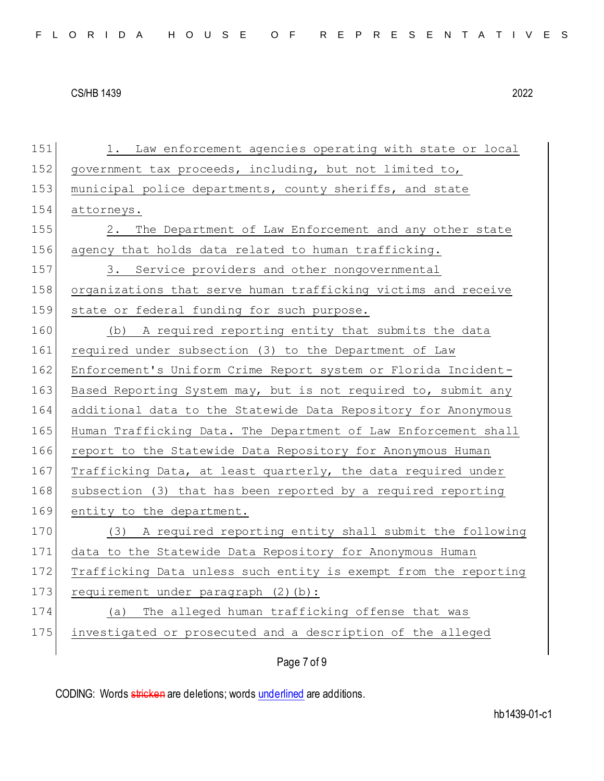151 1. Law enforcement agencies operating with state or local 152 government tax proceeds, including, but not limited to, 153 municipal police departments, county sheriffs, and state 154 attorneys. 155 2. The Department of Law Enforcement and any other state 156 agency that holds data related to human trafficking. 157 3. Service providers and other nongovernmental 158 organizations that serve human trafficking victims and receive 159 state or federal funding for such purpose. 160 (b) A required reporting entity that submits the data 161 required under subsection (3) to the Department of Law 162 Enforcement's Uniform Crime Report system or Florida Incident-163 Based Reporting System may, but is not required to, submit any 164 additional data to the Statewide Data Repository for Anonymous 165 Human Trafficking Data. The Department of Law Enforcement shall 166 report to the Statewide Data Repository for Anonymous Human 167 Trafficking Data, at least quarterly, the data required under 168 subsection (3) that has been reported by a required reporting 169 entity to the department. 170 (3) A required reporting entity shall submit the following 171 data to the Statewide Data Repository for Anonymous Human 172 Trafficking Data unless such entity is exempt from the reporting 173 requirement under paragraph (2)(b): 174 (a) The alleged human trafficking offense that was 175 investigated or prosecuted and a description of the alleged

Page 7 of 9

CODING: Words stricken are deletions; words underlined are additions.

hb1439-01-c1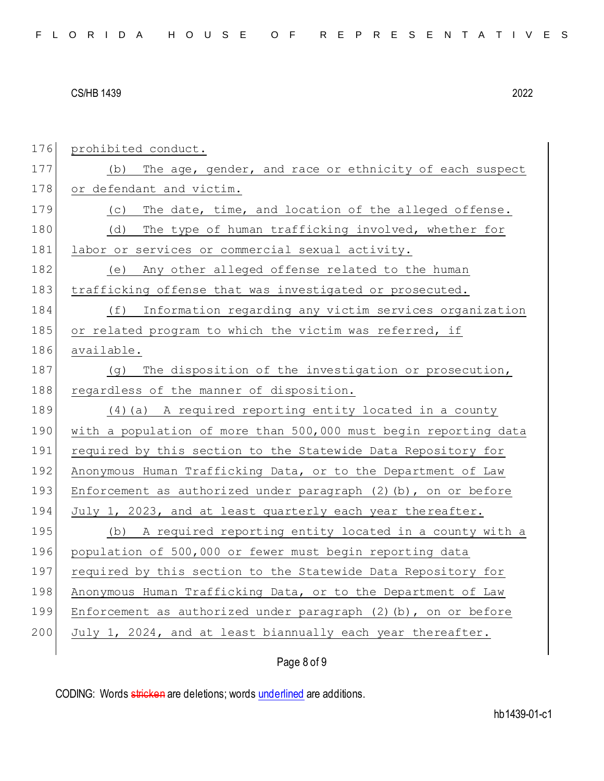| 176 | prohibited conduct.                                                  |
|-----|----------------------------------------------------------------------|
| 177 | The age, gender, and race or ethnicity of each suspect<br>(b)        |
| 178 | or defendant and victim.                                             |
| 179 | The date, time, and location of the alleged offense.<br>(C)          |
| 180 | The type of human trafficking involved, whether for<br>(d)           |
| 181 | labor or services or commercial sexual activity.                     |
| 182 | (e) Any other alleged offense related to the human                   |
| 183 | trafficking offense that was investigated or prosecuted.             |
| 184 | Information regarding any victim services organization<br>(f)        |
| 185 | or related program to which the victim was referred, if              |
| 186 | available.                                                           |
| 187 | The disposition of the investigation or prosecution,<br>(q)          |
| 188 | regardless of the manner of disposition.                             |
| 189 | $(4)$ (a) A required reporting entity located in a county            |
| 190 | with a population of more than 500,000 must begin reporting data     |
| 191 | required by this section to the Statewide Data Repository for        |
| 192 | Anonymous Human Trafficking Data, or to the Department of Law        |
| 193 | Enforcement as authorized under paragraph (2) (b), on or before      |
| 194 | July 1, 2023, and at least quarterly each year thereafter.           |
| 195 | (b) A required reporting entity located in a county with a           |
| 196 | population of 500,000 or fewer must begin reporting data             |
| 197 | required by this section to the Statewide Data Repository for        |
| 198 | Anonymous Human Trafficking Data, or to the Department of Law        |
| 199 | Enforcement as authorized under paragraph $(2)$ $(b)$ , on or before |
| 200 | July 1, 2024, and at least biannually each year thereafter.          |
|     |                                                                      |

## Page 8 of 9